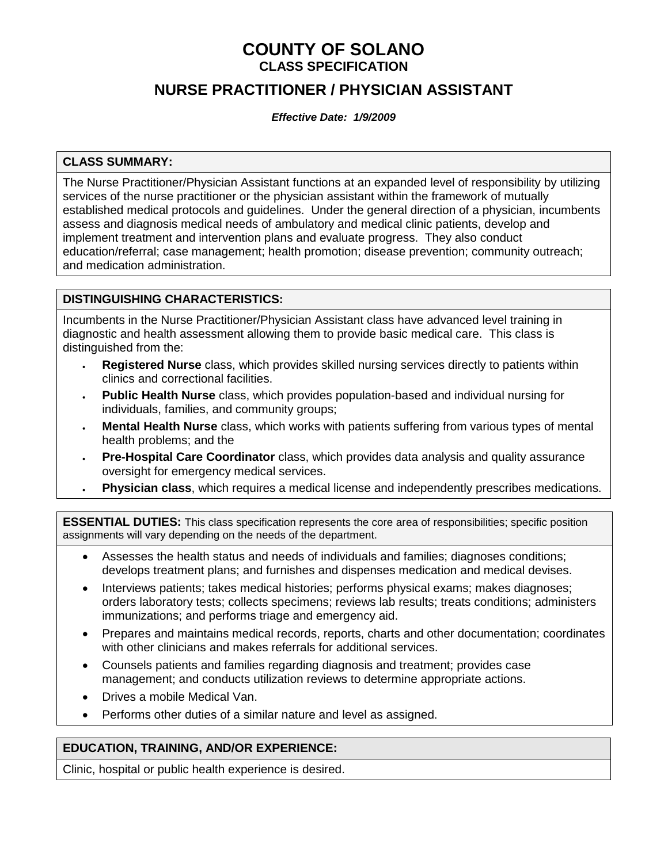## **COUNTY OF SOLANO CLASS SPECIFICATION**

# **NURSE PRACTITIONER / PHYSICIAN ASSISTANT**

*Effective Date: 1/9/2009*

## **CLASS SUMMARY:**

The Nurse Practitioner/Physician Assistant functions at an expanded level of responsibility by utilizing services of the nurse practitioner or the physician assistant within the framework of mutually established medical protocols and guidelines. Under the general direction of a physician, incumbents assess and diagnosis medical needs of ambulatory and medical clinic patients, develop and implement treatment and intervention plans and evaluate progress. They also conduct education/referral; case management; health promotion; disease prevention; community outreach; and medication administration.

## **DISTINGUISHING CHARACTERISTICS:**

Incumbents in the Nurse Practitioner/Physician Assistant class have advanced level training in diagnostic and health assessment allowing them to provide basic medical care. This class is distinguished from the:

- **Registered Nurse** class, which provides skilled nursing services directly to patients within clinics and correctional facilities.
- **Public Health Nurse** class, which provides population-based and individual nursing for individuals, families, and community groups;
- **Mental Health Nurse** class, which works with patients suffering from various types of mental health problems; and the
- **Pre-Hospital Care Coordinator** class, which provides data analysis and quality assurance oversight for emergency medical services.
- **Physician class**, which requires a medical license and independently prescribes medications.

**ESSENTIAL DUTIES:** This class specification represents the core area of responsibilities; specific position assignments will vary depending on the needs of the department.

- Assesses the health status and needs of individuals and families; diagnoses conditions; develops treatment plans; and furnishes and dispenses medication and medical devises.
- Interviews patients; takes medical histories; performs physical exams; makes diagnoses; orders laboratory tests; collects specimens; reviews lab results; treats conditions; administers immunizations; and performs triage and emergency aid.
- Prepares and maintains medical records, reports, charts and other documentation; coordinates with other clinicians and makes referrals for additional services.
- Counsels patients and families regarding diagnosis and treatment; provides case management; and conducts utilization reviews to determine appropriate actions.
- Drives a mobile Medical Van.
- Performs other duties of a similar nature and level as assigned.

### **EDUCATION, TRAINING, AND/OR EXPERIENCE:**

Clinic, hospital or public health experience is desired.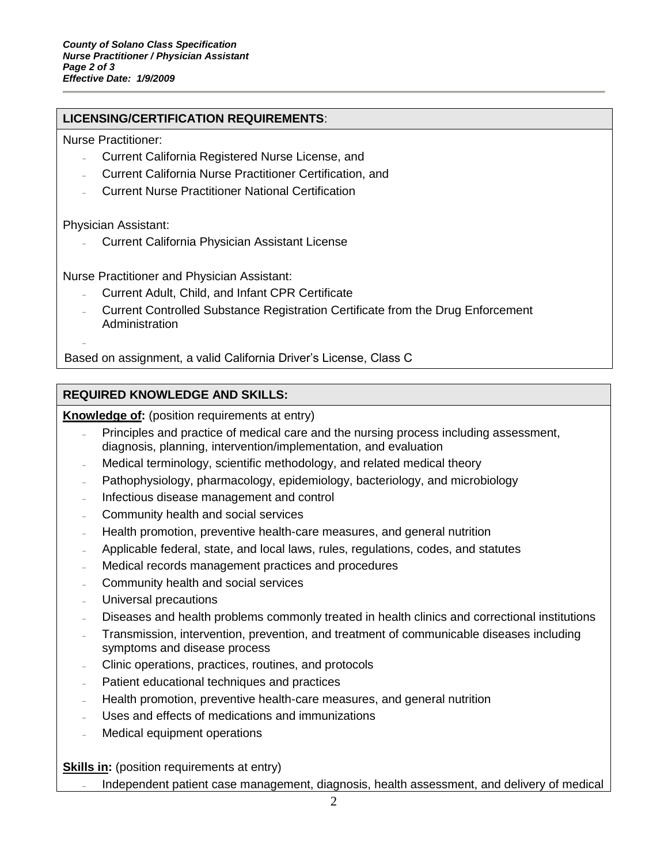## **LICENSING/CERTIFICATION REQUIREMENTS**:

Nurse Practitioner:

- Current California Registered Nurse License, and
- Current California Nurse Practitioner Certification, and
- Current Nurse Practitioner National Certification

Physician Assistant:

 $\overline{a}$ 

Current California Physician Assistant License

Nurse Practitioner and Physician Assistant:

- Current Adult, Child, and Infant CPR Certificate
- Current Controlled Substance Registration Certificate from the Drug Enforcement Administration

Based on assignment, a valid California Driver's License, Class C

## **REQUIRED KNOWLEDGE AND SKILLS:**

**Knowledge of:** (position requirements at entry)

- Principles and practice of medical care and the nursing process including assessment, diagnosis, planning, intervention/implementation, and evaluation
- Medical terminology, scientific methodology, and related medical theory
- Pathophysiology, pharmacology, epidemiology, bacteriology, and microbiology
- Infectious disease management and control
- Community health and social services
- Health promotion, preventive health-care measures, and general nutrition
- Applicable federal, state, and local laws, rules, regulations, codes, and statutes
- Medical records management practices and procedures
- Community health and social services
- Universal precautions
- Diseases and health problems commonly treated in health clinics and correctional institutions
- Transmission, intervention, prevention, and treatment of communicable diseases including symptoms and disease process
- Clinic operations, practices, routines, and protocols
- Patient educational techniques and practices
- Health promotion, preventive health-care measures, and general nutrition
- Uses and effects of medications and immunizations
- Medical equipment operations

**Skills in:** (position requirements at entry)

Independent patient case management, diagnosis, health assessment, and delivery of medical